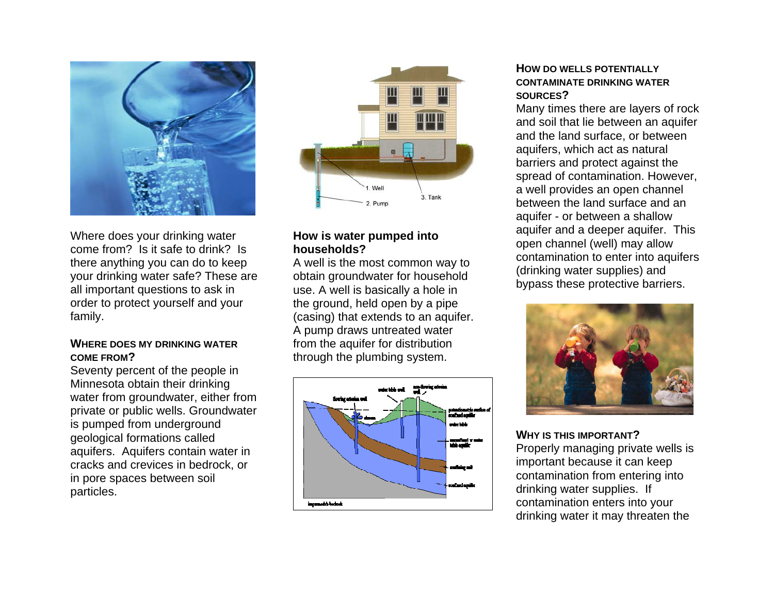

Where does your drinking water come from? Is it safe to drink? Is there anything you can do to keep your drinking water safe? These are all important questions to ask in order to protect yourself and your family.

#### **WHERE DOES MY DRINKING WATER COME FROM?**

Seventy percent of the people in Minnesota obtain their drinking water from groundwater, either from private or public wells. Groundwater is pumped from underground geological formations called aquifers. Aquifers contain water in cracks and crevices in bedrock, or in pore spaces between soil particles.



## **How is water pumped into households?**

A well is the most common way to obtain groundwater for household use. A well is basically a hole in the ground, held open by a pipe (casing) that extends to an aquifer. A pump draws untreated water from the aquifer for distribution through the plumbing system.



#### **HOW DO WELLS POTENTIALLY CONTAMINATE DRINKING WATER SOURCES?**

Many times there are layers of rock and soil that lie between an aquifer and the land surface, or between aquifers, which act as natural barriers and protect against the spread of contamination. However, a well provides an open channel between the land surface and an aquifer - or between a shallow aquifer and a deeper aquifer. This open channel (well) may allow contamination to enter into aquifers (drinking water supplies) and bypass these protective barriers.



#### **WHY IS THIS IMPORTANT?**

Properly managing private wells is important because it can keep contamination from entering into drinking water supplies. If contamination enters into your drinking water it may threaten the